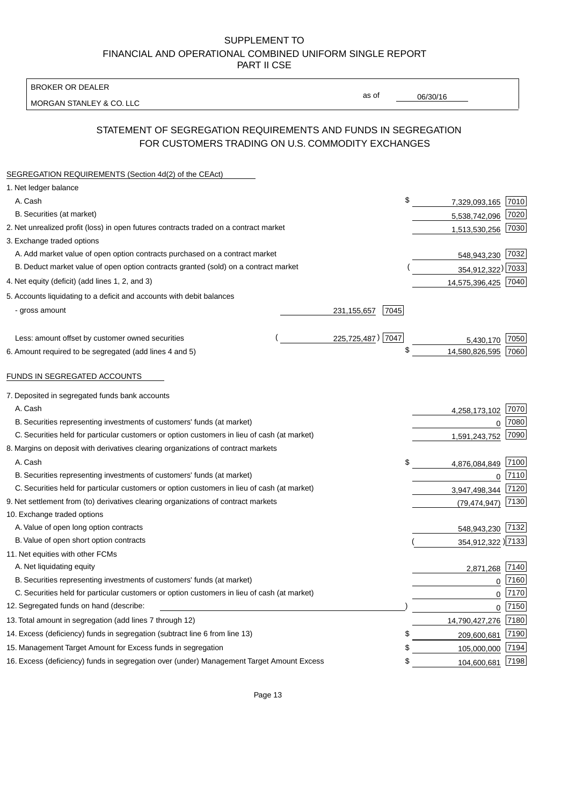BROKER OR DEALER

MORGAN STANLEY & CO. LLC

06/30/16

as of

# STATEMENT OF SEGREGATION REQUIREMENTS AND FUNDS IN SEGREGATION FOR CUSTOMERS TRADING ON U.S. COMMODITY EXCHANGES

| SEGREGATION REQUIREMENTS (Section 4d(2) of the CEAct)                                       |                       |                     |      |
|---------------------------------------------------------------------------------------------|-----------------------|---------------------|------|
| 1. Net ledger balance                                                                       |                       |                     |      |
| A. Cash                                                                                     | \$                    | 7,329,093,165 7010  |      |
| B. Securities (at market)                                                                   |                       | 5,538,742,096       | 7020 |
| 2. Net unrealized profit (loss) in open futures contracts traded on a contract market       |                       | 1,513,530,256       | 7030 |
| 3. Exchange traded options                                                                  |                       |                     |      |
| A. Add market value of open option contracts purchased on a contract market                 |                       | 548,943,230 7032    |      |
| B. Deduct market value of open option contracts granted (sold) on a contract market         |                       | 354,912,322) 7033   |      |
| 4. Net equity (deficit) (add lines 1, 2, and 3)                                             |                       | 14,575,396,425 7040 |      |
| 5. Accounts liquidating to a deficit and accounts with debit balances                       |                       |                     |      |
| - gross amount                                                                              | 7045<br>231, 155, 657 |                     |      |
|                                                                                             |                       |                     |      |
| Less: amount offset by customer owned securities                                            | 225,725,487) 7047     | 5,430,170           | 7050 |
| 6. Amount required to be segregated (add lines 4 and 5)                                     | \$                    | 14,580,826,595      | 7060 |
| FUNDS IN SEGREGATED ACCOUNTS                                                                |                       |                     |      |
| 7. Deposited in segregated funds bank accounts                                              |                       |                     |      |
| A. Cash                                                                                     |                       | 4,258,173,102       | 7070 |
| B. Securities representing investments of customers' funds (at market)                      |                       | $\Omega$            | 7080 |
| C. Securities held for particular customers or option customers in lieu of cash (at market) |                       | 1,591,243,752       | 7090 |
| 8. Margins on deposit with derivatives clearing organizations of contract markets           |                       |                     |      |
| A. Cash                                                                                     | \$                    | 4,876,084,849       | 7100 |
| B. Securities representing investments of customers' funds (at market)                      |                       | $\mathbf{0}$        | 7110 |
| C. Securities held for particular customers or option customers in lieu of cash (at market) |                       | 3,947,498,344       | 7120 |
| 9. Net settlement from (to) derivatives clearing organizations of contract markets          |                       | (79, 474, 947)      | 7130 |
| 10. Exchange traded options                                                                 |                       |                     |      |
| A. Value of open long option contracts                                                      |                       | 548,943,230         | 7132 |
| B. Value of open short option contracts                                                     |                       | 354,912,322 )7133   |      |
| 11. Net equities with other FCMs                                                            |                       |                     |      |
| A. Net liquidating equity                                                                   |                       | 2,871,268           | 7140 |
| B. Securities representing investments of customers' funds (at market)                      |                       | $\Omega$            | 7160 |
| C. Securities held for particular customers or option customers in lieu of cash (at market) |                       | $\mathbf 0$         | 7170 |
| 12. Segregated funds on hand (describe:                                                     |                       | $\mathbf 0$         | 7150 |
| 13. Total amount in segregation (add lines 7 through 12)                                    |                       | 14,790,427,276      | 7180 |
| 14. Excess (deficiency) funds in segregation (subtract line 6 from line 13)                 | \$                    | 209,600,681         | 7190 |
| 15. Management Target Amount for Excess funds in segregation                                | \$                    | 105,000,000         | 7194 |
| 16. Excess (deficiency) funds in segregation over (under) Management Target Amount Excess   | \$                    | 104,600,681         | 7198 |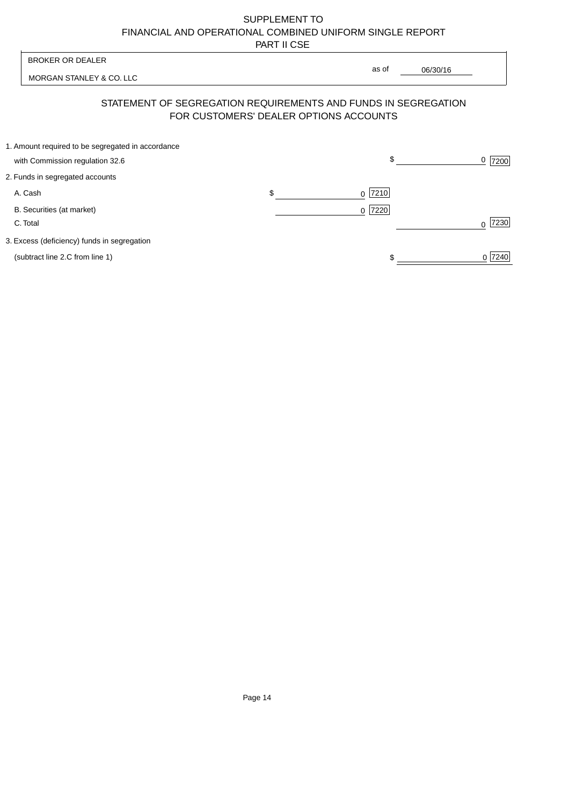| <b>BROKER OR DEALER</b>                                                              | as of                                                                                                    |           |
|--------------------------------------------------------------------------------------|----------------------------------------------------------------------------------------------------------|-----------|
| MORGAN STANLEY & CO. LLC                                                             | 06/30/16                                                                                                 |           |
|                                                                                      | STATEMENT OF SEGREGATION REQUIREMENTS AND FUNDS IN SEGREGATION<br>FOR CUSTOMERS' DEALER OPTIONS ACCOUNTS |           |
| 1. Amount required to be segregated in accordance<br>with Commission regulation 32.6 | \$                                                                                                       | 7200      |
| 2. Funds in segregated accounts                                                      |                                                                                                          |           |
| A. Cash                                                                              | \$<br> 7210 <br>$\Omega$                                                                                 |           |
| B. Securities (at market)<br>C. Total                                                | 7220<br>$\Omega$                                                                                         | 7230<br>∩ |
| 3. Excess (deficiency) funds in segregation                                          |                                                                                                          |           |
| (subtract line 2.C from line 1)                                                      |                                                                                                          | 0 7240    |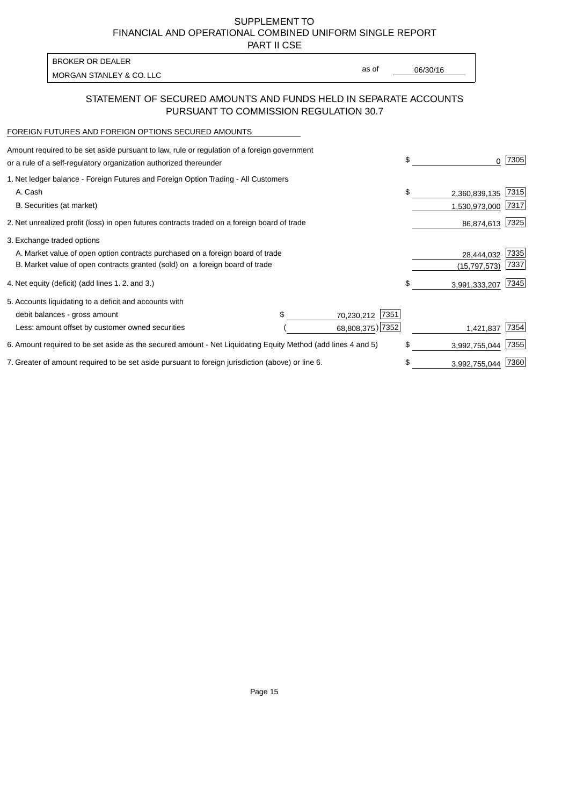PART II CSE

| <b>BROKER OR DEALER</b>  |       |          |
|--------------------------|-------|----------|
| MORGAN STANLEY & CO. LLC | as of | 06/30/16 |
|                          |       |          |

### STATEMENT OF SECURED AMOUNTS AND FUNDS HELD IN SEPARATE ACCOUNTS PURSUANT TO COMMISSION REGULATION 30.7

#### FOREIGN FUTURES AND FOREIGN OPTIONS SECURED AMOUNTS

| \$<br>0             | 7305 |
|---------------------|------|
|                     |      |
| \$<br>2,360,839,135 | 7315 |
| 1,530,973,000       | 7317 |
| 86,874,613          | 7325 |
|                     |      |
| 28,444,032          | 7335 |
| (15, 797, 573)      | 7337 |
| \$<br>3,991,333,207 | 7345 |
|                     |      |
|                     |      |
| 1,421,837           | 7354 |
| \$<br>3,992,755,044 | 7355 |
| \$<br>3,992,755,044 | 7360 |
| 68,808,375) 7352    |      |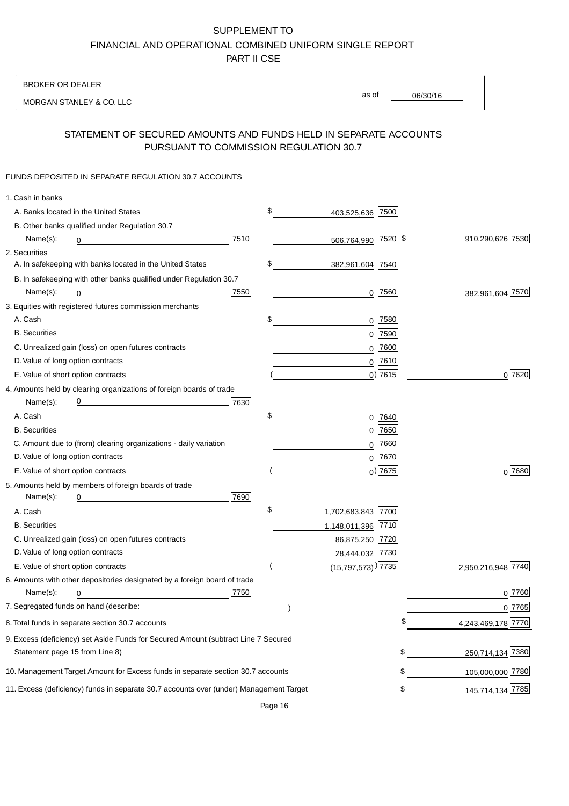BROKER OR DEALER

MORGAN STANLEY & CO. LLC

06/30/16

as of

# STATEMENT OF SECURED AMOUNTS AND FUNDS HELD IN SEPARATE ACCOUNTS PURSUANT TO COMMISSION REGULATION 30.7

#### FUNDS DEPOSITED IN SEPARATE REGULATION 30.7 ACCOUNTS

| 1. Cash in banks                                                                       |                                  |                          |
|----------------------------------------------------------------------------------------|----------------------------------|--------------------------|
| A. Banks located in the United States                                                  | \$<br>403,525,636 7500           |                          |
| B. Other banks qualified under Regulation 30.7                                         |                                  |                          |
| 7510<br>Name(s):<br>0                                                                  | 506,764,990 7520 \$              | 910,290,626 7530         |
| 2. Securities                                                                          |                                  |                          |
| A. In safekeeping with banks located in the United States                              | \$<br>382,961,604 7540           |                          |
| B. In safekeeping with other banks qualified under Regulation 30.7                     |                                  |                          |
| 7550<br>Name(s):<br>0                                                                  | $0$   $7560$                     | 382,961,604 7570         |
| 3. Equities with registered futures commission merchants                               |                                  |                          |
| A. Cash                                                                                | \$<br>$0$ 7580                   |                          |
| <b>B.</b> Securities                                                                   | $0$ 7590                         |                          |
| C. Unrealized gain (loss) on open futures contracts                                    | $0$ 7600                         |                          |
| D. Value of long option contracts                                                      | $0$ 7610                         |                          |
| E. Value of short option contracts                                                     | $0)$ 7615                        | 0 7620                   |
| 4. Amounts held by clearing organizations of foreign boards of trade                   |                                  |                          |
| 7630<br>Name(s):                                                                       |                                  |                          |
| A. Cash                                                                                | \$<br>$0$ 7640                   |                          |
| <b>B.</b> Securities                                                                   | $0$ 7650                         |                          |
| C. Amount due to (from) clearing organizations - daily variation                       | $0$ 7660                         |                          |
| D. Value of long option contracts                                                      | $0$ 7670                         |                          |
| E. Value of short option contracts                                                     | $_0$ ) 7675                      | 0 7680                   |
| 5. Amounts held by members of foreign boards of trade                                  |                                  |                          |
| 7690<br>Name(s):<br>0                                                                  |                                  |                          |
| A. Cash                                                                                | \$<br>1,702,683,843 7700         |                          |
| <b>B.</b> Securities                                                                   | 1,148,011,396 7710               |                          |
| C. Unrealized gain (loss) on open futures contracts                                    | 86,875,250 7720                  |                          |
| D. Value of long option contracts                                                      | 28,444,032 7730                  |                          |
| E. Value of short option contracts                                                     | $(15,797,573)$ <sup>)</sup> 7735 | 2,950,216,948 7740       |
| 6. Amounts with other depositories designated by a foreign board of trade              |                                  |                          |
| 7750<br>Name(s):<br>0                                                                  |                                  | 0 7760                   |
|                                                                                        |                                  | 0 7765                   |
| 8. Total funds in separate section 30.7 accounts                                       |                                  | \$<br>4,243,469,178 7770 |
| 9. Excess (deficiency) set Aside Funds for Secured Amount (subtract Line 7 Secured     |                                  |                          |
| Statement page 15 from Line 8)                                                         |                                  | \$<br>250,714,134 7380   |
| 10. Management Target Amount for Excess funds in separate section 30.7 accounts        |                                  | \$<br>105,000,000 7780   |
| 11. Excess (deficiency) funds in separate 30.7 accounts over (under) Management Target |                                  | \$<br>145,714,134 7785   |